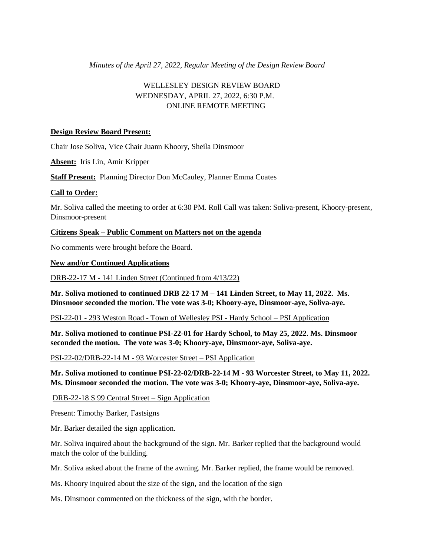*Minutes of the April 27, 2022, Regular Meeting of the Design Review Board* 

# WELLESLEY DESIGN REVIEW BOARD WEDNESDAY, APRIL 27, 2022, 6:30 P.M. ONLINE REMOTE MEETING

### **Design Review Board Present:**

Chair Jose Soliva, Vice Chair Juann Khoory, Sheila Dinsmoor

**Absent:** Iris Lin, Amir Kripper

**Staff Present:** Planning Director Don McCauley, Planner Emma Coates

#### **Call to Order:**

Mr. Soliva called the meeting to order at 6:30 PM. Roll Call was taken: Soliva-present, Khoory-present, Dinsmoor-present

# **Citizens Speak – Public Comment on Matters not on the agenda**

No comments were brought before the Board.

#### **New and/or Continued Applications**

DRB-22-17 M - 141 Linden Street (Continued from 4/13/22)

**Mr. Soliva motioned to continued DRB 22-17 M – 141 Linden Street, to May 11, 2022. Ms. Dinsmoor seconded the motion. The vote was 3-0; Khoory-aye, Dinsmoor-aye, Soliva-aye.** 

PSI-22-01 - 293 Weston Road - Town of Wellesley PSI - Hardy School – PSI Application

**Mr. Soliva motioned to continue PSI-22-01 for Hardy School, to May 25, 2022. Ms. Dinsmoor seconded the motion. The vote was 3-0; Khoory-aye, Dinsmoor-aye, Soliva-aye.** 

PSI-22-02/DRB-22-14 M - 93 Worcester Street – PSI Application

**Mr. Soliva motioned to continue PSI-22-02/DRB-22-14 M - 93 Worcester Street, to May 11, 2022. Ms. Dinsmoor seconded the motion. The vote was 3-0; Khoory-aye, Dinsmoor-aye, Soliva-aye.** 

DRB-22-18 S 99 Central Street – Sign Application

Present: Timothy Barker, Fastsigns

Mr. Barker detailed the sign application.

Mr. Soliva inquired about the background of the sign. Mr. Barker replied that the background would match the color of the building.

Mr. Soliva asked about the frame of the awning. Mr. Barker replied, the frame would be removed.

Ms. Khoory inquired about the size of the sign, and the location of the sign

Ms. Dinsmoor commented on the thickness of the sign, with the border.